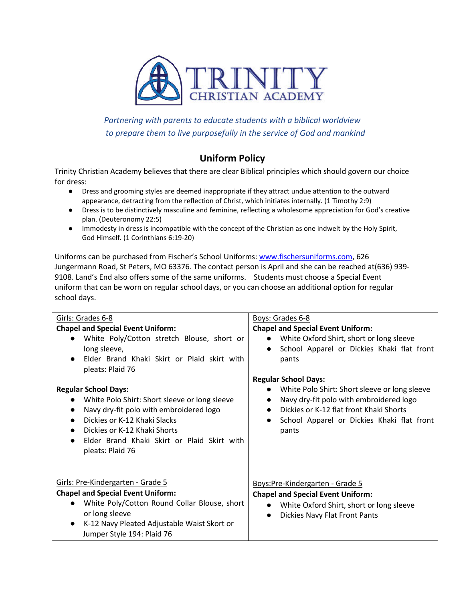

*Partnering with parents to educate students with a biblical worldview to prepare them to live purposefully in the service of God and mankind*

## **Uniform Policy**

Trinity Christian Academy believes that there are clear Biblical principles which should govern our choice for dress:

- Dress and grooming styles are deemed inappropriate if they attract undue attention to the outward appearance, detracting from the reflection of Christ, which initiates internally. (1 Timothy 2:9)
- Dress is to be distinctively masculine and feminine, reflecting a wholesome appreciation for God's creative plan. (Deuteronomy 22:5)
- Immodesty in dress is incompatible with the concept of the Christian as one indwelt by the Holy Spirit, God Himself. (1 Corinthians 6:19-20)

Uniforms can be purchased from Fischer's School Uniforms: www.fischersuniforms.com, 626 Jungermann Road, St Peters, MO 63376. The contact person is April and she can be reached at(636) 939- 9108. Land's End also offers some of the same uniforms. Students must choose a Special Event uniform that can be worn on regular school days, or you can choose an additional option for regular school days.

| Girls: Grades 6-8                                                                                                                                                                                                                                                                                                                                                                                                                       | Boys: Grades 6-8                                                                                                                                                                                                                                                                                                                                                                                   |
|-----------------------------------------------------------------------------------------------------------------------------------------------------------------------------------------------------------------------------------------------------------------------------------------------------------------------------------------------------------------------------------------------------------------------------------------|----------------------------------------------------------------------------------------------------------------------------------------------------------------------------------------------------------------------------------------------------------------------------------------------------------------------------------------------------------------------------------------------------|
| <b>Chapel and Special Event Uniform:</b><br>White Poly/Cotton stretch Blouse, short or<br>long sleeve,<br>Elder Brand Khaki Skirt or Plaid skirt with<br>pleats: Plaid 76<br><b>Regular School Days:</b><br>White Polo Shirt: Short sleeve or long sleeve<br>Navy dry-fit polo with embroidered logo<br>Dickies or K-12 Khaki Slacks<br>Dickies or K-12 Khaki Shorts<br>Elder Brand Khaki Skirt or Plaid Skirt with<br>pleats: Plaid 76 | <b>Chapel and Special Event Uniform:</b><br>White Oxford Shirt, short or long sleeve<br>School Apparel or Dickies Khaki flat front<br>$\bullet$<br>pants<br><b>Regular School Days:</b><br>White Polo Shirt: Short sleeve or long sleeve<br>Navy dry-fit polo with embroidered logo<br>Dickies or K-12 flat front Khaki Shorts<br>School Apparel or Dickies Khaki flat front<br>$\bullet$<br>pants |
| Girls: Pre-Kindergarten - Grade 5<br><b>Chapel and Special Event Uniform:</b><br>White Poly/Cotton Round Collar Blouse, short<br>or long sleeve<br>K-12 Navy Pleated Adjustable Waist Skort or<br>Jumper Style 194: Plaid 76                                                                                                                                                                                                            | Boys:Pre-Kindergarten - Grade 5<br><b>Chapel and Special Event Uniform:</b><br>White Oxford Shirt, short or long sleeve<br>Dickies Navy Flat Front Pants                                                                                                                                                                                                                                           |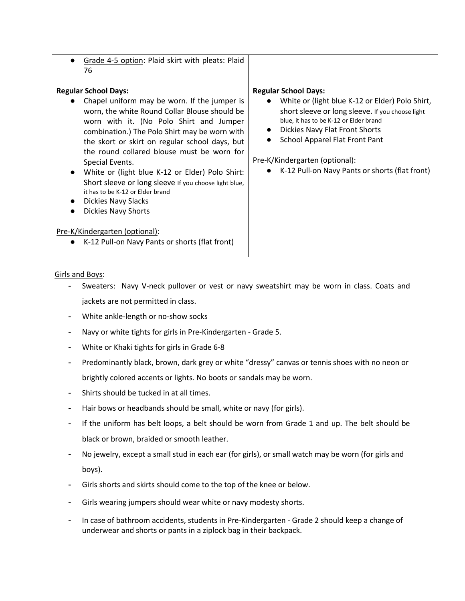| Grade 4-5 option: Plaid skirt with pleats: Plaid<br>76<br><b>Regular School Days:</b><br>Chapel uniform may be worn. If the jumper is<br>worn, the white Round Collar Blouse should be<br>worn with it. (No Polo Shirt and Jumper<br>combination.) The Polo Shirt may be worn with | <b>Regular School Days:</b><br>White or (light blue K-12 or Elder) Polo Shirt,<br>short sleeve or long sleeve. If you choose light<br>blue, it has to be K-12 or Elder brand<br>Dickies Navy Flat Front Shorts |
|------------------------------------------------------------------------------------------------------------------------------------------------------------------------------------------------------------------------------------------------------------------------------------|----------------------------------------------------------------------------------------------------------------------------------------------------------------------------------------------------------------|
| the skort or skirt on regular school days, but<br>the round collared blouse must be worn for                                                                                                                                                                                       | School Apparel Flat Front Pant                                                                                                                                                                                 |
| Special Events.                                                                                                                                                                                                                                                                    | Pre-K/Kindergarten (optional):                                                                                                                                                                                 |
| White or (light blue K-12 or Elder) Polo Shirt:<br>$\bullet$<br>Short sleeve or long sleeve If you choose light blue,<br>it has to be K-12 or Elder brand<br>Dickies Navy Slacks<br><b>Dickies Navy Shorts</b>                                                                     | K-12 Pull-on Navy Pants or shorts (flat front)                                                                                                                                                                 |
| Pre-K/Kindergarten (optional):                                                                                                                                                                                                                                                     |                                                                                                                                                                                                                |
| K-12 Pull-on Navy Pants or shorts (flat front)                                                                                                                                                                                                                                     |                                                                                                                                                                                                                |

Girls and Boys:

- Sweaters: Navy V-neck pullover or vest or navy sweatshirt may be worn in class. Coats and jackets are not permitted in class.
- White ankle-length or no-show socks
- Navy or white tights for girls in Pre-Kindergarten Grade 5.
- White or Khaki tights for girls in Grade 6-8
- Predominantly black, brown, dark grey or white "dressy" canvas or tennis shoes with no neon or brightly colored accents or lights. No boots or sandals may be worn.
- Shirts should be tucked in at all times.
- Hair bows or headbands should be small, white or navy (for girls).
- If the uniform has belt loops, a belt should be worn from Grade 1 and up. The belt should be black or brown, braided or smooth leather.
- No jewelry, except a small stud in each ear (for girls), or small watch may be worn (for girls and boys).
- Girls shorts and skirts should come to the top of the knee or below.
- Girls wearing jumpers should wear white or navy modesty shorts.
- In case of bathroom accidents, students in Pre-Kindergarten Grade 2 should keep a change of underwear and shorts or pants in a ziplock bag in their backpack.